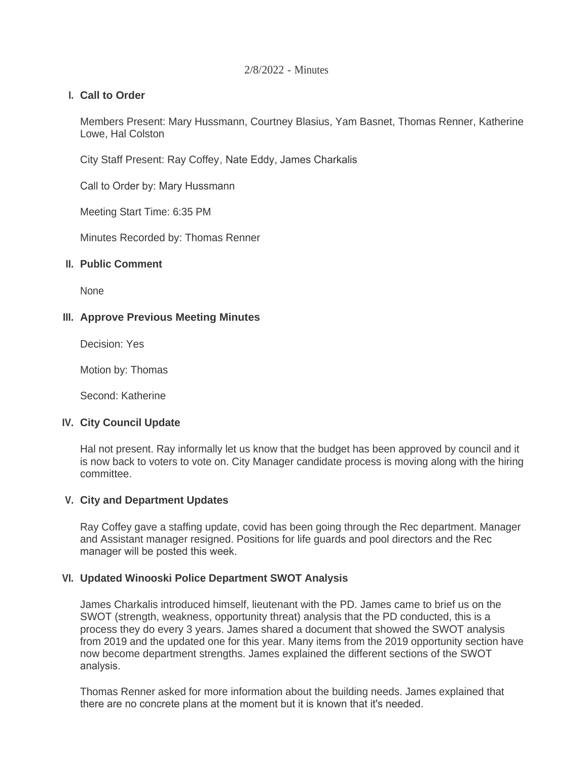#### 2/8/2022 - Minutes

# **Call to Order I.**

Members Present: Mary Hussmann, Courtney Blasius, Yam Basnet, Thomas Renner, Katherine Lowe, Hal Colston

City Staff Present: Ray Coffey, Nate Eddy, James Charkalis

Call to Order by: Mary Hussmann

Meeting Start Time: 6:35 PM

Minutes Recorded by: Thomas Renner

# **Public Comment II.**

**None** 

# **Approve Previous Meeting Minutes III.**

Decision: Yes

Motion by: Thomas

Second: Katherine

### **City Council Update IV.**

Hal not present. Ray informally let us know that the budget has been approved by council and it is now back to voters to vote on. City Manager candidate process is moving along with the hiring committee.

# **City and Department Updates V.**

Ray Coffey gave a staffing update, covid has been going through the Rec department. Manager and Assistant manager resigned. Positions for life guards and pool directors and the Rec manager will be posted this week.

### **Updated Winooski Police Department SWOT Analysis VI.**

James Charkalis introduced himself, lieutenant with the PD. James came to brief us on the SWOT (strength, weakness, opportunity threat) analysis that the PD conducted, this is a process they do every 3 years. James shared a document that showed the SWOT analysis from 2019 and the updated one for this year. Many items from the 2019 opportunity section have now become department strengths. James explained the different sections of the SWOT analysis.

Thomas Renner asked for more information about the building needs. James explained that there are no concrete plans at the moment but it is known that it's needed.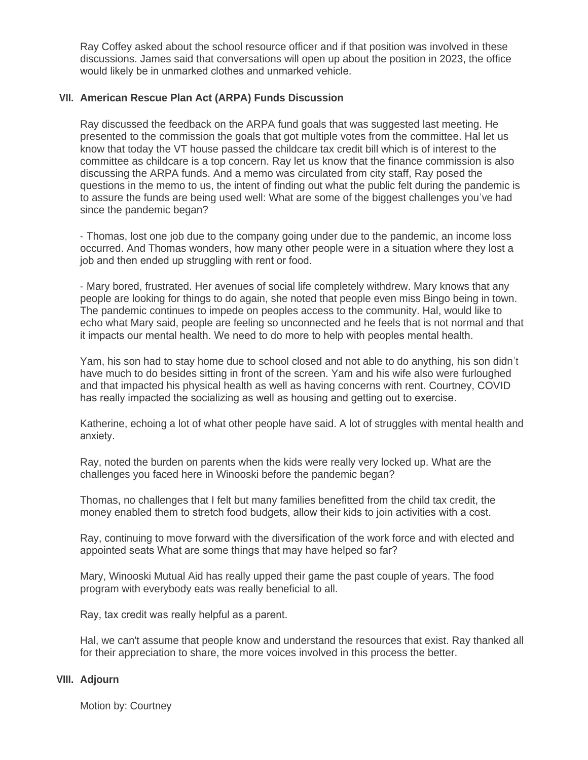Ray Coffey asked about the school resource officer and if that position was involved in these discussions. James said that conversations will open up about the position in 2023, the office would likely be in unmarked clothes and unmarked vehicle.

# **American Rescue Plan Act (ARPA) Funds Discussion VII.**

Ray discussed the feedback on the ARPA fund goals that was suggested last meeting. He presented to the commission the goals that got multiple votes from the committee. Hal let us know that today the VT house passed the childcare tax credit bill which is of interest to the committee as childcare is a top concern. Ray let us know that the finance commission is also discussing the ARPA funds. And a memo was circulated from city staff, Ray posed the questions in the memo to us, the intent of finding out what the public felt during the pandemic is to assure the funds are being used well: What are some of the biggest challenges you've had since the pandemic began?

- Thomas, lost one job due to the company going under due to the pandemic, an income loss occurred. And Thomas wonders, how many other people were in a situation where they lost a job and then ended up struggling with rent or food.

- Mary bored, frustrated. Her avenues of social life completely withdrew. Mary knows that any people are looking for things to do again, she noted that people even miss Bingo being in town. The pandemic continues to impede on peoples access to the community. Hal, would like to echo what Mary said, people are feeling so unconnected and he feels that is not normal and that it impacts our mental health. We need to do more to help with peoples mental health.

Yam, his son had to stay home due to school closed and not able to do anything, his son didn't have much to do besides sitting in front of the screen. Yam and his wife also were furloughed and that impacted his physical health as well as having concerns with rent. Courtney, COVID has really impacted the socializing as well as housing and getting out to exercise.

Katherine, echoing a lot of what other people have said. A lot of struggles with mental health and anxiety.

Ray, noted the burden on parents when the kids were really very locked up. What are the challenges you faced here in Winooski before the pandemic began?

Thomas, no challenges that I felt but many families benefitted from the child tax credit, the money enabled them to stretch food budgets, allow their kids to join activities with a cost.

Ray, continuing to move forward with the diversification of the work force and with elected and appointed seats What are some things that may have helped so far?

Mary, Winooski Mutual Aid has really upped their game the past couple of years. The food program with everybody eats was really beneficial to all.

Ray, tax credit was really helpful as a parent.

Hal, we can't assume that people know and understand the resources that exist. Ray thanked all for their appreciation to share, the more voices involved in this process the better.

#### **Adjourn VIII.**

Motion by: Courtney